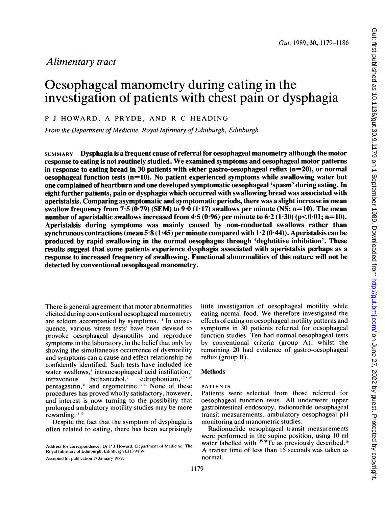# Alimentary tract

# Oesophageal manometry during eating in the investigation of patients with chest pain or dysphagia

<sup>P</sup> <sup>J</sup> HOWARD, A PRYDE, AND R C HEADING

From the Department of Medicine, Royal Infirmary of Edinburgh, Edinburgh

SUMMARY Dysphagia is a frequent cause of referral for oesophageal manometry although the motor response to eating is not routinely studied. We examined symptoms and oesophageal motor patterns in response to eating bread in 30 patients with either gastro-oesophageal reflux  $(n=20)$ , or normal oesophageal function tests  $(n=10)$ . No patient experienced symptoms while swallowing water but one complained of heartburn and one developed symptomatic oesophageal 'spasm' during eating. In eight further patients, pain or dysphagia which occurred with swallowing bread was associated with aperistalsis. Comparing asymptomatic and symptomatic periods, there was a slight increase in mean swallow frequency from 7.5 (0.79) (SEM) to  $9.0$  (1.17) swallows per minute (NS; n=10). The mean number of aperistaltic swallows increased from  $4.5 (0.96)$  per minute to  $6.2 (1.30) (p<0.01; n=10)$ . Aperistalsis during symptoms was mainly caused by non-conducted swallows rather than synchronous contractions (mean  $5.8(1.45)$  per minute compared with  $1.2(0.44)$ ). Aperistalsis can be produced by rapid swallowing in the normal oesophagus through 'deglutitive inhibition'. These results suggest that some patients experience dysphagia associated with aperistalsis perhaps as a response to increased frequency of swallowing. Functional abnormalities of this nature will not be detected by conventional oesophageal manometry.

There is general agreement that motor abnormalities elicited during conventional oesophageal manometry are seldom accompanied by symptoms. $\vdash$  In consequence, various 'stress tests' have been devised to provoke oesophageal dysmotility and reproduce symptoms in the laboratory, in the belief that only by showing the simultaneous occurrence of dysmotility and symptoms can a cause and effect relationship be confidently identified. Such tests have included ice water swallows,<sup>5</sup> intraoesophageal acid instillation,<sup>6</sup>  $intravenous$  bethanechol,<sup>7</sup> edrophonium, $178-10$ pentagastrin," and ergometrine.<sup>12.13</sup> None of these procedures has proved wholly satisfactory, however, and interest is now turning to the possibility that prolonged ambulatory motility studies may be more rewarding.<sup>1415</sup>

Despite the fact that the symptom of dysphagia is often related to eating, there has been surprisingly

Accepted for publication 17 January 1989.

little investigation of oesophageal motility while eating normal food. We therefore investigated the effects of eating on oesophageal motility patterns and symptoms in 30 patients referred for oesophageal function studies. Ten had normal oesophageal tests by conventional criteria (group A), whilst the remaining 20 had evidence of gastro-oesophageal reflux (group B).

# Methods

#### PATIENTS

Patients were selected from those referred for oesophageal function tests. All underwent upper gastrointestinal endoscopy, radionuclide oesophageal transit measurements, ambulatory oesophageal pH monitoring and manometric studies.

Radionuclide oesophageal transit measurements were performed in the supine position, using 10 ml water labelled with <sup>99m</sup>Tc as previously described.<sup>16</sup> A transit time of less than <sup>15</sup> seconds was taken as normal.

Address for correspondence: Dr P <sup>J</sup> Howard, Department of Medicine, The Royal Infirmary of Edinburgh, Edinburgh EH3 9YW.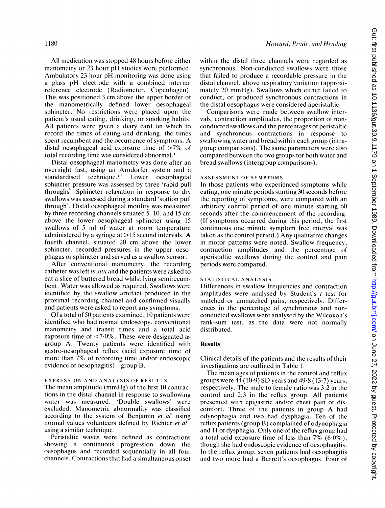All medication was stopped 48 hours before either manometry or 23 hour pH studies were performed. Ambulatory 23 hour pH monitoring was done using <sup>a</sup> glass pH electrode with <sup>a</sup> combined internal reference electrode (Radiometer, Copenhagen). This was positioned 3 cm above the upper border of the manometrically defined lower oesophageal sphincter. No restrictions were placed upon the patient's usual eating, drinking, or smoking habits. All patients were given a diary card on which to record the times of eating and drinking, the times spent recumbent and the occurrence of symptoms. A distal oesophageal acid exposure time of  $>7\%$  of total recording time was considered abnormal.'

Distal oesophageal manometry was done after an overnight fast, using an Arndorfer system and a standardised technique. $17$  Lower oesophageal sphincter pressure was assessed by three 'rapid pull throughs'. Sphincter relaxation in response to dry swallows was assessed during a standard 'station pull through'. Distal oesophageal motility was measured by three recording channels situated 5, 10, and <sup>15</sup> cm above the lower oesophageal sphincter using 15 swallows of 5 ml of water at room temperature administered by <sup>a</sup> syringe at >15 second intervals. A fourth channel, situated 20 cm above the lower sphincter, recorded pressures in the upper oesophagus or sphincter and served as a swallow sensor.

After conventional manometry, the recording catheter was left in situ and the patients were asked to eat a slice of buttered bread whilst lying semirecumbent. Water was allowed as required. Swallows were identified by the swallow artefact produced in the proximal recording channel and confirmed visually and patients were asked to report any symptoms.

Of a total of 50 patients examined, 10 patients were identified who had normal endoscopy, conventional manometry and transit times and a total acid exposure time of <7.0%. These were designated as group A. Twenty patients were identified with gastro-oesophageal reflux (acid exposure time of more than 7% of recording time and/or endoscopic evidence of oesophagitis) – group B.

## EXPRESSION AND ANALYSIS OF RESULTS

The mean amplitude (mmHg) of the first 10 contractions in the distal channel in response to swallowing water was measured. 'Double swallows' were excluded. Manometric abnormality was classified according to the system of Benjamin et  $al^{\dagger}$  using normal values volunteers defined by Richter et  $al^{17}$ using a similar technique.

Peristaltic waves were defined as contractions showing a continuous progression down the oesophagus and recorded sequentially in all four channels. Contractions that had a simultaneous onset

within the distal three channels were regarded as synchronous. Non-conducted swallows were those that failed to produce a recordable pressure in the distal channel, above respiratory variation (approximately 20 mmHg). Swallows which either failed to conduct, or produced synchronous contractions in the distal oesophagus were considered aperistaltic.

Comparisons were made between swallow intervals, contraction amplitudes, the proportion of nonconducted swallows and the percentages of peristaltic and synchronous contractions in response to swallowing water and bread within each group (intragroup comparisons). The same parameters were also compared between the two groups for both water and bread swallows (intergroup comparisons).

#### ASSESSMENT OF SYMPTOMS

In those patients who experienced symptoms while eating, one minute periods starting 30 seconds before the reporting of symptoms, were compared with an arbitrary control period of one minute starting 60 seconds after the commencement of the recording. (If symptoms occurred during this period, the first continuous one minute symptom free interval was taken as the control period.) Any qualitative changes in motor patterns were noted. Swallow frequency, contraction amplitudes and the percentage of aperistaltic swallows during the control and pain periods were compared.

# STATISTICAL ANALYSIS

Differences in swallow frequencies and contraction amplitudes were analysed by Student's  $t$  test for matched or unmatched pairs, respectively. Differences in the percentage of synchronous and nonconducted swallows were analysed by the Wilcoxon's rank-sum test, as the data were not normally distributed.

#### Results

Clinical details of the patients and the results of their investigations are outlined in Table 1.

The mean ages of patients in the control and reflux groups were  $44 (10.9)$  SD years and  $49.8 (13.7)$  years, respectively. The male to female ratio was 3:2 in the control and 2:3 in the reflux group. All patients presented with epigastric and/or chest pain or discomfort. Three of the patients in group A had odynophagia and two had dysphagia. Ten of the reflux patients (group B) complained of odynophagia and <sup>11</sup> of dysphagia. Only one of the reflux group had a total acid exposure time of less than  $7\%$  (6.0%), though she had endoscopic evidence of oesophagitis. In the reflux group, seven patients had oesophagitis and two more had a Barrett's oesophagus. Four of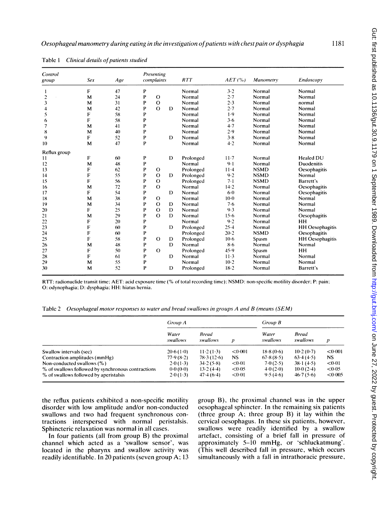| Control<br>group | <b>Sex</b> | Age | Presenting<br>complaints |             | RTT | AET(%     | Manometry | Endoscopy   |                        |
|------------------|------------|-----|--------------------------|-------------|-----|-----------|-----------|-------------|------------------------|
|                  | F          | 47  | P                        |             |     | Normal    | 3.2       | Normal      | Normal                 |
| $\overline{c}$   | м          | 24  | P                        | $\circ$     |     | Normal    | 2.7       | Normal      | Normal                 |
| 3                | М          | 31  | P                        | $\Omega$    |     | Normal    | 2.3       | Normal      | normal                 |
| 4                | M          | 42  | P                        | $\Omega$    | D   | Normal    | 2.7       | Normal      | Normal                 |
| 5                | F          | 58  | P                        |             |     | Normal    | 1.9       | Normal      | Normal                 |
| 6                | F          | 58  | P                        |             |     | Normal    | $3 - 6$   | Normal      | Normal                 |
| $\overline{7}$   | м          | 41  | P                        |             |     | Normal    | 4.7       | Normal      | Normal                 |
| 8                | М          | 40  | P                        |             |     | Normal    | 2.9       | Normal      | Normal                 |
| 9                | F          | 52  | P                        |             | D   | Normal    | $3 - 8$   | Normal      | Normal                 |
| 10               | М          | 47  | P                        |             |     | Normal    | 4.2       | Normal      | Normal                 |
| Reflux group     |            |     |                          |             |     |           |           |             |                        |
| 11               | F          | 60  | P                        |             | D   | Prolonged | $11 - 7$  | Normal      | Healed DU              |
| 12               | М          | 48  | P                        |             |     | Normal    | $9 - 1$   | Normal      | <b>Duodenitis</b>      |
| 13               | F          | 62  | P                        | $\circ$     |     | Prolonged | $11 - 4$  | <b>NSMD</b> | Oesophagitis           |
| 14               | F          | 55  | P                        | $\Omega$    | D   | Prolonged | 9.2       | <b>NSMD</b> | Normal                 |
| 15               | F          | 56  | P                        | $\circ$     |     | Prolonged | 7.1       | <b>NSMD</b> | Barrett's              |
| 16               | м          | 72  | P                        | $\Omega$    |     | Normal    | $14 - 2$  | Normal      | Oesophagitis           |
| 17               | F          | 54  | P                        |             | D   | Normal    | $6 - 0$   | Normal      | Oesophagitis           |
| 18               | М          | 38  | P                        | $\Omega$    |     | Normal    | $10-0$    | Normal      | Normal                 |
| 19               | М          | 34  | P                        | $\Omega$    | D   | Normal    | 7.6       | Normal      | Normal                 |
| 20               | F          | 25  | P                        | $\mathbf O$ | D   | Normal    | 9.3       | Normal      | Normal                 |
| 21               | M          | 29  | P                        | $\Omega$    | D   | Normal    | 15.6      | Normal      | Oesophagitis           |
| 22               | F          | 20  | P                        |             |     | Normal    | 9.2       | Normal      | <b>HH</b>              |
| 23               | F          | 60  | P                        |             | D   | Prolonged | 25.4      | Normal      | <b>HH</b> Oesophagitis |
| 24               | F          | 60  | P                        |             |     | Prolonged | $20 - 2$  | <b>NSMD</b> | Oesophagitis           |
| 25               | F          | 58  | P                        | $\Omega$    | D   | Prolonged | $10-6$    | Spasm       | <b>HH</b> Oesophagitis |
| 26               | м          | 48  | P                        |             | D   | Normal    | 8.6       | Normal      | Normal                 |
| 27               | F          | 50  | P                        | $\Omega$    |     | Prolonged | 45.9      | Spasm       | HH                     |
| 28               | F          | 61  | P                        |             | D   | Normal    | $11-3$    | Normal      | Normal                 |
| 29               | м          | 55  | P                        |             |     | Normal    | $10-2$    | Normal      | Normal                 |
| 30               | M          | 52  | P                        |             | D   | Prolonged | $18 - 2$  | Normal      | Barrett's              |

Table 1 Clinical details of patients studied

RTT: radionuclide transit time; AET: acid exposure time (% of total recording time); NSMD: non-specific motility disorder; P: pain; 0: odynophagia; D: dysphagia; HH: hiatus hernia.

Table 2 Oesophageal motor responses to water and bread swallows in groups A and B (means (SEM)

|                                                    | Group A           |                          |                  | Group B           |                   |                  |
|----------------------------------------------------|-------------------|--------------------------|------------------|-------------------|-------------------|------------------|
|                                                    | Water<br>swallows | <b>Bread</b><br>swallows | $\boldsymbol{D}$ | Water<br>swallows | Bread<br>swallows | $\boldsymbol{p}$ |
| Swallow intervals (sec)                            | 20.6(1.0)         | $11-2(1-3)$              | < 0.001          | 18.8(0.6)         | 10.2(0.7)         | < 0.001          |
| Contraction amplitudes (mmHg)                      | 77.9(8.2)         | 78.3(12.6)               | NS.              | 67.8(8.5)         | 63.4(4.5)         | NS.              |
| Non-conducted swallows $(\% )$                     | 2.0(1.3)          | 34.2(5.8)                | < 0.01           | 7.0(2.5)          | $38 \cdot 1(4.5)$ | < 0.01           |
| % of swallows followed by synchronous contractions | 0.0(0.0)          | 13.2(4.4)                | <0.05            | 4.0(2.0)          | 10.0(2.4)         | < 0.05           |
| % of swallows followed by aperistalsis             | 2.0(1.3)          | 47.4(6.4)                | < 0.01           | 9.5(4.6)          | 46.7(5.6)         | <0.005           |

the reflux patients exhibited a non-specific motility disorder with low amplitude and/or non-conducted swallows and two had frequent synchronous contractions interspersed with normal peristalsis. Sphincteric relaxation was normal in all cases.

In four patients (all from group B) the proximal channel which acted as a 'swallow sensor', was located in the pharynx and swallow activity was readily identifiable. In 20 patients (seven group A; 13 group B), the proximal channel was in the upper oesophageal sphincter. In the remaining six patients (three group A; three group B) it lay within the cervical oesophagus. In these six patients, however, swallows were readily identified by a swallow artefact, consisting of a brief fall in pressure of approximately 5-10 mmHg, or 'schluckatmung'. (This well described fall in pressure, which occurs simultaneously with a fall in intrathoracic pressure,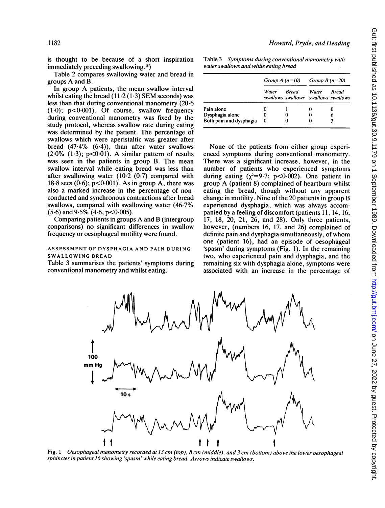is thought to be because of a short inspiration immediately preceding swallowing.<sup>18</sup>)

Table 2 compares swallowing water and bread in groups A and B.

In group A patients, the mean swallow interval whilst eating the bread  $(11.2 (1.3)$  SEM seconds) was less than that during conventional manometry (20-6  $(1.0)$ ;  $p < 0.001$ ). Of course, swallow frequency during conventional manometry was fixed by the study protocol, whereas swallow rate during eating was determined by the patient. The percentage of swallows which were aperistaltic was greater after bread (47.4% (6.4)), than after water swallows  $(2.0\%$   $(1.3)$ ;  $p<0.01$ ). A similar pattern of results was seen in the patients in group B. The mean swallow interval while eating bread was less than after swallowing water  $(10.2 \, (0.7)$  compared with  $18.8$  secs  $(0.6)$ ;  $p<0.001$ ). As in group A, there was also a marked increase in the percentage of nonconducted and synchronous contractions after bread swallows, compared with swallowing water (46.7%  $(5.6)$  and  $9.5\%$   $(4.6, p<0.005)$ .

Comparing patients in groups A and B (intergroup conparisons) no significant differences in swallow frequency or oesophageal motility were found.

## ASSESSMENT OF DYSPHAGIA AND PAIN DURING SWALLOWING BREAD

Table 3 summarises the patients' symptoms during conventional manometry and whilst eating.

Table 3 Symptoms during conventional manometry with water swallows and while eating bread

|                         |       |       | Group A $(n=10)$ Group B $(n=20)$                   |              |  |
|-------------------------|-------|-------|-----------------------------------------------------|--------------|--|
|                         | Water | Bread | <i>Water</i><br>swallows swallows swallows swallows | <b>Bread</b> |  |
| Pain alone              |       |       | o                                                   | 0            |  |
| Dysphagia alone         | 0     | 0     | 0                                                   | 6            |  |
| Both pain and dysphagia | 0     | 0     | 0                                                   |              |  |

None of the patients from either group experienced symptoms during conventional manometry. There was a significant increase, however, in the number of patients who experienced symptoms during eating  $(\gamma^2=9.7; \, p<0.002)$ . One patient in group A (patient 8) complained of heartburn whilst eating the bread, though without any apparent change in motility. Nine of the 20 patients in group B experienced dysphagia, which was always accompanied by a feeling of discomfort (patients 11, 14, 16, 17, 18, 20, 21, 26, and 28). Only three patients, however, (numbers 16, 17, and 26) complained of definite pain and dysphagia simultaneously, of whom one (patient 16), had an episode of oesophageal 'spasm' during symptoms (Fig. 1). In the remaining two, who experienced pain and dysphagia, and the remaining six with dysphagia alone, symptoms were associated with an increase in the percentage of



Fig. <sup>1</sup> Oesophageal manometry recorded at 13 cm (top), 8 cm (middle), and 3 cm (bottom) above the lower oesophageal sphincter in patient 16 showing 'spasm' while eating bread. Arrows indicate swallows.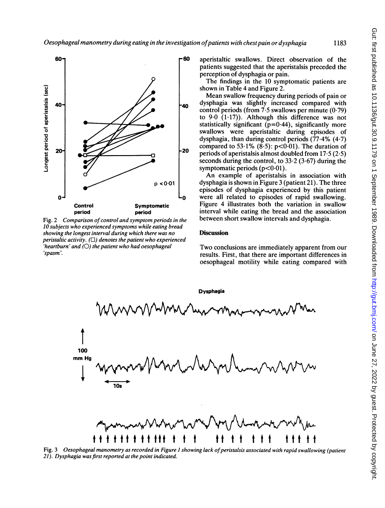

Fig. 2 Comparison of control and symptom periods in the 10 subjects who experienced symptoms while eating bread showing the longest interval during which there was no peristaltic activity.  $(\Box)$  denotes the patient who experienced 'heartburn' and  $(O)$  the patient who had oesophageal 'spasm'.

aperistaltic swallows. Direct observation of the patients suggested that the aperistalsis preceded the perception of dysphagia or pain.

The findings in the 10 symptomatic patients are shown in Table 4 and Figure 2.

Mean swallow frequency during periods of pain or dysphagia was slightly increased compared with control periods (from  $7.5$  swallows per minute  $(0.79)$ ) to  $9.0$   $(1.17)$ ). Although this difference was not statistically significant ( $p=0.44$ ), significantly more swallows were aperistaltic during episodes of dysphagia, than during control periods  $(77.4\%$   $(4.7)$ compared to 53.1%  $(8.5)$ :  $p<0.01$ ). The duration of periods of aperistalsis almost doubled from 17-5 (2.5) seconds during the control, to  $33.2$  (3.67) during the symptomatic periods  $(p<0.01)$ .

An example of aperistalsis in association with dysphagia is shown in Figure 3 (patient 21). The three episodes of dysphagia experienced by this patient were all related to episodes of rapid swallowing. Figure 4 illustrates both the variation in swallow interval while eating the bread and the association between short swallow intervals and dysphagia.

# **Discussion**

Two conclusions are immediately apparent from our results. First, that there are important differences in oesophageal motility while eating compared with

![](_page_4_Figure_9.jpeg)

Fig. 3 Oesophageal manometry as recorded in Figure 1 showing lack of peristalsis associated with rapid swallowing (patient 21). Dysphagia was first reported at the point indicated.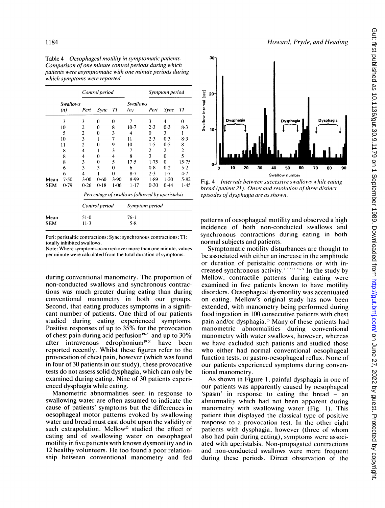|            |                        |                                                 | Control period |        |                        | Symptom period |          |                         |  |
|------------|------------------------|-------------------------------------------------|----------------|--------|------------------------|----------------|----------|-------------------------|--|
|            | <b>Swallows</b><br>(n) | Peri                                            | Sync           | TI     | <b>Swallows</b><br>(n) | Peri           | Sync     | TI                      |  |
|            | 3                      | 3                                               | 0              | 0      | 7                      | 3              | 4        | $\bf{0}$                |  |
|            | 10                     | $\overline{c}$                                  | 0              | 8      | $10-7$                 | $2 - 3$        | $0-3$    | $8-3$                   |  |
|            | 5                      | $\overline{c}$                                  | 0              | 3      | 4                      | $\theta$       | 3        | 1                       |  |
|            | 10                     | $\overline{\mathbf{3}}$                         | 1              | 7      | 11                     | 2.3            | 0.3      | 8.3                     |  |
|            | 11                     | 2                                               | 0              | 9      | 10                     | 1.5            | 0.5      | 8                       |  |
|            | 8                      | 4                                               | ı              | 3      | 7                      | 2              | 2        | $\overline{\mathbf{c}}$ |  |
|            | 8                      | 4                                               | 0              | 4      | 8                      | 3              | $\theta$ | 5                       |  |
|            | 8                      | 3                                               | 0              | 5      | 17.5                   | 1.75           | 0        | 15.75                   |  |
|            | 6                      | 3                                               | 3              | 0      | 6                      | 0.8            | 0.2      | 5.2                     |  |
|            | 6                      | $\overline{\mathbf{4}}$                         |                | 0      | 8.7                    | 2.3            | 1.7      | 4.7                     |  |
| Mean       | 7.50                   | $3-00$                                          | 0.60           | 3.90   | 8.99                   | 1.89           | $1 - 20$ | 5.82                    |  |
| <b>SEM</b> | 0.79                   | 0.26                                            | 0.18           | $1-06$ | $1 - 17$               | 0.30           | 0.44     | 1.45                    |  |
|            |                        | Percentage of swallows followed by aperistalsis |                |        |                        |                |          |                         |  |
|            |                        | Control period                                  |                |        | <b>Symptom period</b>  |                |          |                         |  |
| Mean       |                        | 51.0                                            |                |        | $76 - 1$               |                |          |                         |  |
| SEM        |                        | $11-3$                                          |                |        | 5.8                    |                |          |                         |  |

Table 4 Oesophageal motility in symptomatic patients. Comparison of one minute control periods during which patients were asymptomatic with one minute periods during which symptoms were reported

Peri: peristaltic contractions; Sync: synchronous contractions; TI: totally inhibited swallows.

Note: Where symptoms occurred over more than one minute, values per minute were calculated from the total duration of symptoms.

during conventional manometry. The proportion of non-conducted swallows and synchronous contractions was much greater during eating than during conventional manometry in both our groups. Second, that eating produces symptoms in a significant number of patients. One third of our patients studied during eating experienced symptoms. Positive responses of up to 35% for the provocation of chest pain during acid perfusion $19-21$  and up to 30% after intravenous edrophonium'92" have been reported recently. Whilst these figures refer to the provocation of chest pain, however (which was found in four of 30 patients in our study), these provocative tests do not assess solid dysphagia, which can only be examined during eating. Nine of 30 patients experienced dysphagia while eating.

Manometric abnormalities seen in response to swallowing water are often assumed to indicate the cause of patients' symptoms but the differences in oesophageal motor patterns evoked by swallowing water and bread must cast doubt upon the validity of such extrapolation. Mellow<sup>22</sup> studied the effect of eating and of swallowing water on oesophageal motility in five patients with known dysmotility and in <sup>12</sup> healthy volunteers. He too found <sup>a</sup> poor relationship between conventional manometry and fed

![](_page_5_Figure_8.jpeg)

Howard, Prvde, and Heading

Fig. 4 Intervals between successive swallows while eating bread (patient 21). Onset and resolution of three distinct episodes of dvsphagia are as shown.

patterns of oesophageal motility and observed a high incidence of both non-conducted swallows and synchronous contractions during eating in both normal subjects and patients.

Symptomatic motility disturbances are thought to be associated with either an increase in the amplitude or duration of peristaltic contractions or with increased synchronous activity.<sup>127 13</sup>  $22-24$  In the study by Mellow, contractile patterns during eating were examined in five patients known to have motility disorders. Oesophageal dysmotility was accentuated on eating. Mellow's original study has now been extended, with manometry being performed during food ingestion in 100 consecutive patients with chest pain and/or dysphagia." Many of these patients had manometric abnormalities during conventional manometry with water swallows, however, whereas we have excluded such patients and studied those who either had normal conventional oesophageal function tests, or gastro-oesophageal reflux. None of our patients experienced symptoms during conventional manometry.

As shown in Figure 1, painful dysphagia in one of our patients was apparently caused by oesophageal 'spasm' in response to eating the bread - an abnormality which had not been apparent during manometry with swallowing water (Fig. 1). This patient thus displayed the classical type of positive response to a provocation test. In the other eight patients with dysphagia, however (three of whom also had pain during eating), symptoms were associated with aperistalsis. Non-propagated contractions and non-conducted swallows were more frequent during these periods. Direct observation of the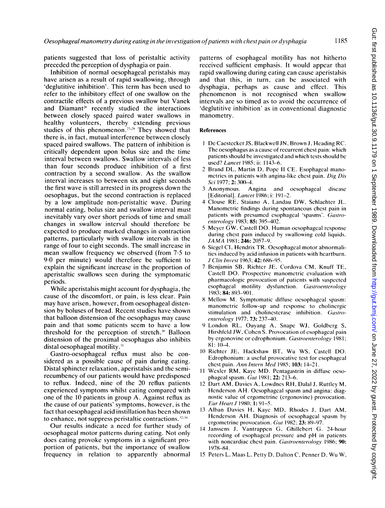patients suggested that loss of peristaltic activity preceded the perception of dysphagia or pain.

Inhibition of normal oesophageal peristalsis may have arisen as a result of rapid swallowing, through 'deglutitive inhibition'. This term has been used to refer to the inhibitory effect of one swallow on the contractile effects of a previous swallow but Vanek and Diamant<sup>26</sup> recently studied the interactions between closely spaced paired water swallows in healthy volunteers, thereby extending previous studies of this phenomenon.<sup> $27-29$ </sup> They showed that there is, in fact, mutual interference between closely spaced paired swallows. The pattern of inhibition is critically dependent upon bolus size and the time interval between swallows. Swallow intervals of less than four seconds produce inhibition of a first contraction by a second swallow. As the swallow interval increases to between six and eight seconds the first wave is still arrested in its progress down the oesophagus, but the second contraction is replaced by a low amplitude non-peristaltic wave. During normal eating, bolus size and swallow interval must inevitably vary over short periods of time and small changes in swallow interval should therefore be expected to produce marked changes in contraction patterns, particularly with swallow intervals in the range of four to eight seconds. The small increase in mean swallow frequency we observed (from 7-5 to 9-0 per minute) would therefore be sufficient to explain the significant increase in the proportion of aperistaltic swallows seen during the symptomatic periods.

While aperistalsis might account for dysphagia, the cause of the discomfort, or pain, is less clear. Pain may have arisen, however, from oesophageal distension by boluses of bread. Recent studies have shown that balloon distension of the oesophagus may cause pain and that some patients seem to have a low threshold for the perception of stretch."' Balloon distension of the proximal oesophagus also inhibits distal oesophageal motility.<sup>31</sup>

Gastro-oesophageal reflux must also be considered as a possible cause of pain during eating. Distal sphincter relaxation, aperistalsis and the semirecumbency of our patients would have predisposed to reflux. Indeed, nine of the 20 reflux patients experienced symptoms whilst eating compared with one of the 10 patients in group A. Against reflux as the cause of our patients' symptoms, however, is the fact that oesophageal acid instillation has been shown to enhance, not suppress peristaltic contractions. $22-34$ 

Our results indicate a need for further study of oesophageal motor patterns during eating. Not only does eating provoke symptoms in a significant proportion of patients, but the importance of swallow frequency in relation to apparently abnormal patterns of esophageal motility has not hitherto received sufficient emphasis. It would appear that rapid swallowing during eating can cause aperistalsis and that this, in turn, can be associated with dysphagia, perhaps as cause and effect. This phenomenon is not recognised when swallow intervals are so timed as to avoid the occurrence of 'deglutitive inhibition' as in conventional diagnostic manometry.

#### References

- <sup>I</sup> De Caestecker JS, Blackwell JN, Brown J, Heading RC. The oesophagus as a cause of recurrent chest pain: which patients should be investigated and which tests should be used? Lancet 1985; ii: 1143-6.
- 2 Brand DL, Martin D, Pope <sup>11</sup> CE. Esophageal manometries in patients with angina-like chest pain. Dig Dis Sci 1977; 2: 300-4.
- 3 Anonymous. Angina and oesophageal disease [Editorial]. Lancet 1986; i: 191-2.
- 4 Clouse RE, Staiano A, Landau DW, Schlachter JL. Manometric findings during spontaneous chest pain in patients with presumed esophageal 'spasms'. Gastroenterology 1983; 85: 395-402.
- <sup>5</sup> Meyer GW, Castell DO. Human oesophageal response during chest pain induced by swallowing cold liquids.  $JAMA$  1981; 246: 2057-9.
- 6 Siegel Cl, Hendrix TR. Oesophageal motor abnormalities induced by acid infusion in patients with heartburn. J Clin Invest 1963; 42: 686-95.
- <sup>7</sup> Benjamin SB, Richter JE, Cordova CM, Knuff TE, Castell DO. Prospective manometric evaluation with pharmacologic provocation of patients with suspected esophageal motility dysfunction. Gastroenterology 1983; 84: 893-901.
- 8 Mellow M. Symptomatic diffuse oesophageal spasm: manometric follow-up and response to cholinergic stimulation and cholinesterase inhibition. Gastroenterology 1977; **73:** 237-40.
- 9 London RL, Ouyang A, Snape WJ, Goldberg S, Hirshfeld JW, Cohen S. Provocation of esophageal pain by ergonovine or edrophonium. Gastroenterology 1981; 81: 10-4.
- <sup>10</sup> Richter JE, Hackshaw BT, Wu WS, Castell DO. Edrophonium: a useful provocative test for esophageal chest pain. Ann Intern Med 1985; 103: 14-21.
- <sup>11</sup> Wexler RM, Kaye MD. Pentagastrin in diffuse oesophageal spasm. Gut 1981; 22: 213-6.
- <sup>12</sup> Dart AM, Davies A, Lowdnes RH, Dalal J, Ruttley M, Henderson AH. Oesophageal spasm and angina: diagnostic value of ergometrine (ergonovine) provocation. Eur Heart J 1980; 1: 91-5.
- <sup>13</sup> Alban Davies H, Kaye MD, Rhodes J, Dart AM, Henderson AH. Diagnosis of oesophageal spasm by ergometrine provocation. Gut 1982; 23: 89-97.
- 14 Janssens J, Vantrappen G, Ghillebert G. 24-hour recording of esophageal pressure and pH in patients with noncardiac chest pain. Gastroenterology 1986; 90: 1978-84.
- <sup>15</sup> Peters L, Maas L. Petty D. Dalton C. Penner D, Wu W,